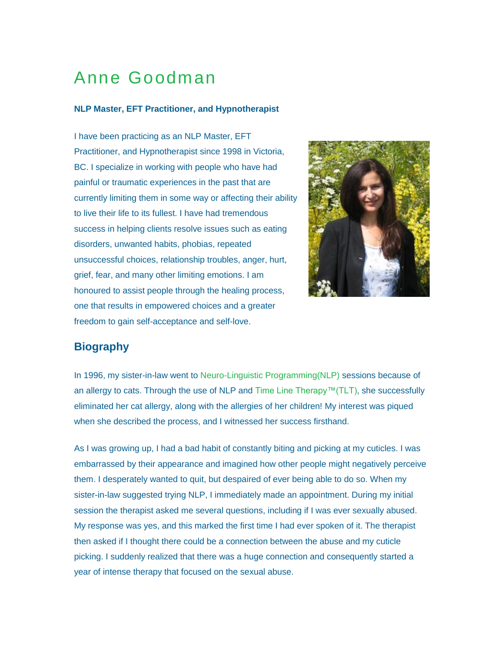# Anne Goodman

#### **NLP Master, EFT Practitioner, and Hypnotherapist**

I have been practicing as an NLP Master, EFT Practitioner, and Hypnotherapist since 1998 in Victoria, BC. I specialize in working with people who have had painful or traumatic experiences in the past that are currently limiting them in some way or affecting their ability to live their life to its fullest. I have had tremendous success in helping clients resolve issues such as eating disorders, unwanted habits, phobias, repeated unsuccessful choices, relationship troubles, anger, hurt, grief, fear, and many other limiting emotions. I am honoured to assist people through the healing process, one that results in empowered choices and a greater freedom to gain self-acceptance and self-love.



## **Biography**

In 1996, my sister-in-law went to [Neuro-Linguistic Programming\(NLP\)](http://members.shaw.ca/electricmouse/empoweredchoices/nlp.htm) sessions because of an allergy to cats. Through the use of NLP and [Time Line Therapy™\(TLT\),](http://members.shaw.ca/electricmouse/empoweredchoices/tlt.htm) she successfully eliminated her cat allergy, along with the allergies of her children! My interest was piqued when she described the process, and I witnessed her success firsthand.

As I was growing up, I had a bad habit of constantly biting and picking at my cuticles. I was embarrassed by their appearance and imagined how other people might negatively perceive them. I desperately wanted to quit, but despaired of ever being able to do so. When my sister-in-law suggested trying NLP, I immediately made an appointment. During my initial session the therapist asked me several questions, including if I was ever sexually abused. My response was yes, and this marked the first time I had ever spoken of it. The therapist then asked if I thought there could be a connection between the abuse and my cuticle picking. I suddenly realized that there was a huge connection and consequently started a year of intense therapy that focused on the sexual abuse.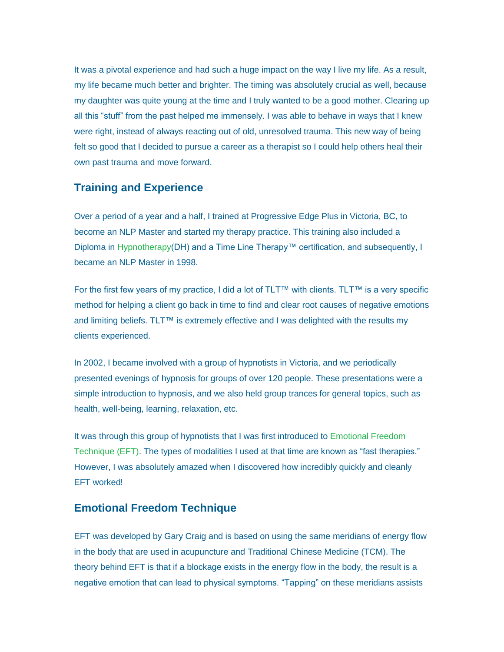It was a pivotal experience and had such a huge impact on the way I live my life. As a result, my life became much better and brighter. The timing was absolutely crucial as well, because my daughter was quite young at the time and I truly wanted to be a good mother. Clearing up all this "stuff" from the past helped me immensely. I was able to behave in ways that I knew were right, instead of always reacting out of old, unresolved trauma. This new way of being felt so good that I decided to pursue a career as a therapist so I could help others heal their own past trauma and move forward.

## **Training and Experience**

Over a period of a year and a half, I trained at Progressive Edge Plus in Victoria, BC, to become an NLP Master and started my therapy practice. This training also included a Diploma in [Hypnotherapy\(](http://members.shaw.ca/electricmouse/empoweredchoices/hypnotherapy.htm)DH) and a Time Line Therapy™ certification, and subsequently, I became an NLP Master in 1998.

For the first few years of my practice, I did a lot of TLT™ with clients. TLT™ is a very specific method for helping a client go back in time to find and clear root causes of negative emotions and limiting beliefs. TLT™ is extremely effective and I was delighted with the results my clients experienced.

In 2002, I became involved with a group of hypnotists in Victoria, and we periodically presented evenings of hypnosis for groups of over 120 people. These presentations were a simple introduction to hypnosis, and we also held group trances for general topics, such as health, well-being, learning, relaxation, etc.

It was through this group of hypnotists that I was first introduced to [Emotional Freedom](http://members.shaw.ca/electricmouse/empoweredchoices/eft.htm)  [Technique \(EFT\).](http://members.shaw.ca/electricmouse/empoweredchoices/eft.htm) The types of modalities I used at that time are known as "fast therapies." However, I was absolutely amazed when I discovered how incredibly quickly and cleanly EFT worked!

#### **Emotional Freedom Technique**

EFT was developed by Gary Craig and is based on using the same meridians of energy flow in the body that are used in acupuncture and Traditional Chinese Medicine (TCM). The theory behind EFT is that if a blockage exists in the energy flow in the body, the result is a negative emotion that can lead to physical symptoms. "Tapping" on these meridians assists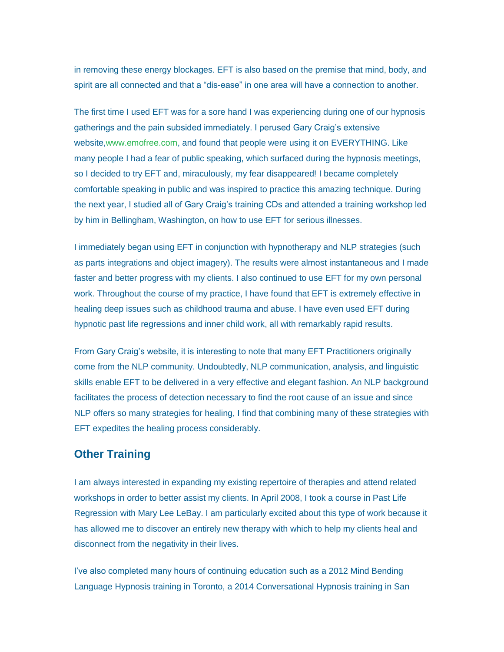in removing these energy blockages. EFT is also based on the premise that mind, body, and spirit are all connected and that a "dis-ease" in one area will have a connection to another.

The first time I used EFT was for a sore hand I was experiencing during one of our hypnosis gatherings and the pain subsided immediately. I perused Gary Craig's extensive website[,www.emofree.com,](http://www.emofree.com/) and found that people were using it on EVERYTHING. Like many people I had a fear of public speaking, which surfaced during the hypnosis meetings, so I decided to try EFT and, miraculously, my fear disappeared! I became completely comfortable speaking in public and was inspired to practice this amazing technique. During the next year, I studied all of Gary Craig's training CDs and attended a training workshop led by him in Bellingham, Washington, on how to use EFT for serious illnesses.

I immediately began using EFT in conjunction with hypnotherapy and NLP strategies (such as parts integrations and object imagery). The results were almost instantaneous and I made faster and better progress with my clients. I also continued to use EFT for my own personal work. Throughout the course of my practice, I have found that EFT is extremely effective in healing deep issues such as childhood trauma and abuse. I have even used EFT during hypnotic past life regressions and inner child work, all with remarkably rapid results.

From Gary Craig's website, it is interesting to note that many EFT Practitioners originally come from the NLP community. Undoubtedly, NLP communication, analysis, and linguistic skills enable EFT to be delivered in a very effective and elegant fashion. An NLP background facilitates the process of detection necessary to find the root cause of an issue and since NLP offers so many strategies for healing, I find that combining many of these strategies with EFT expedites the healing process considerably.

## **Other Training**

I am always interested in expanding my existing repertoire of therapies and attend related workshops in order to better assist my clients. In April 2008, I took a course in Past Life Regression with Mary Lee LeBay. I am particularly excited about this type of work because it has allowed me to discover an entirely new therapy with which to help my clients heal and disconnect from the negativity in their lives.

I've also completed many hours of continuing education such as a 2012 Mind Bending Language Hypnosis training in Toronto, a 2014 Conversational Hypnosis training in San